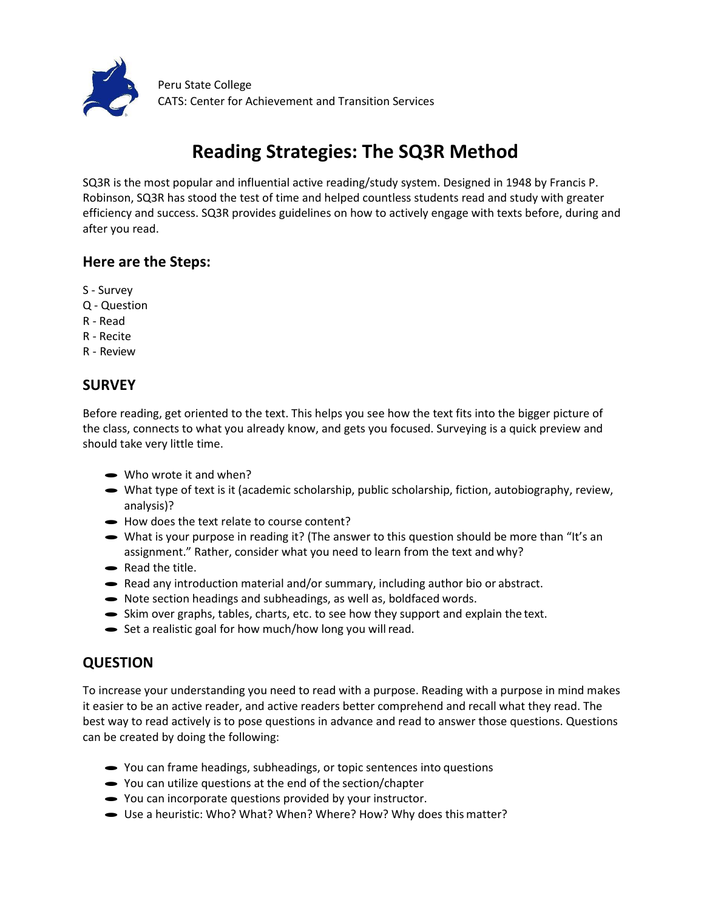

# **Reading Strategies: The SQ3R Method**

SQ3R is the most popular and influential active reading/study system. Designed in 1948 by Francis P. Robinson, SQ3R has stood the test of time and helped countless students read and study with greater efficiency and success. SQ3R provides guidelines on how to actively engage with texts before, during and after you read.

### **Here are the Steps:**

- S Survey
- Q Question
- R Read
- R Recite
- R Review

## **SURVEY**

Before reading, get oriented to the text. This helps you see how the text fits into the bigger picture of the class, connects to what you already know, and gets you focused. Surveying is a quick preview and should take very little time.

- Who wrote it and when?
- What type of text is it (academic scholarship, public scholarship, fiction, autobiography, review, analysis)?
- · How does the text relate to course content?
- What is your purpose in reading it? (The answer to this question should be more than "It's an assignment." Rather, consider what you need to learn from the text and why?
- Read the title.
- Read the title.<br>• Read any introduction material and/or summary, including author bio or abstract.
- Read any introduction material and/or summary, including author bi<br>• Note section headings and subheadings, as well as, boldfaced words.
- Note section headings and subheadings, as well as, boldfaced words.<br>• Skim over graphs, tables, charts, etc. to see how they support and explain the text.
- $\blacktriangleright$  Set a realistic goal for how much/how long you will read.

## **QUESTION**

To increase your understanding you need to read with a purpose. Reading with a purpose in mind makes it easier to be an active reader, and active readers better comprehend and recall what they read. The best way to read actively is to pose questions in advance and read to answer those questions. Questions can be created by doing the following:

- · You can frame headings, subheadings, or topic sentences into questions
- You can utilize questions at the end of the section/chapter
- · You can incorporate questions provided by your instructor.
- Use a heuristic: Who? What? When? Where? How? Why does this matter?